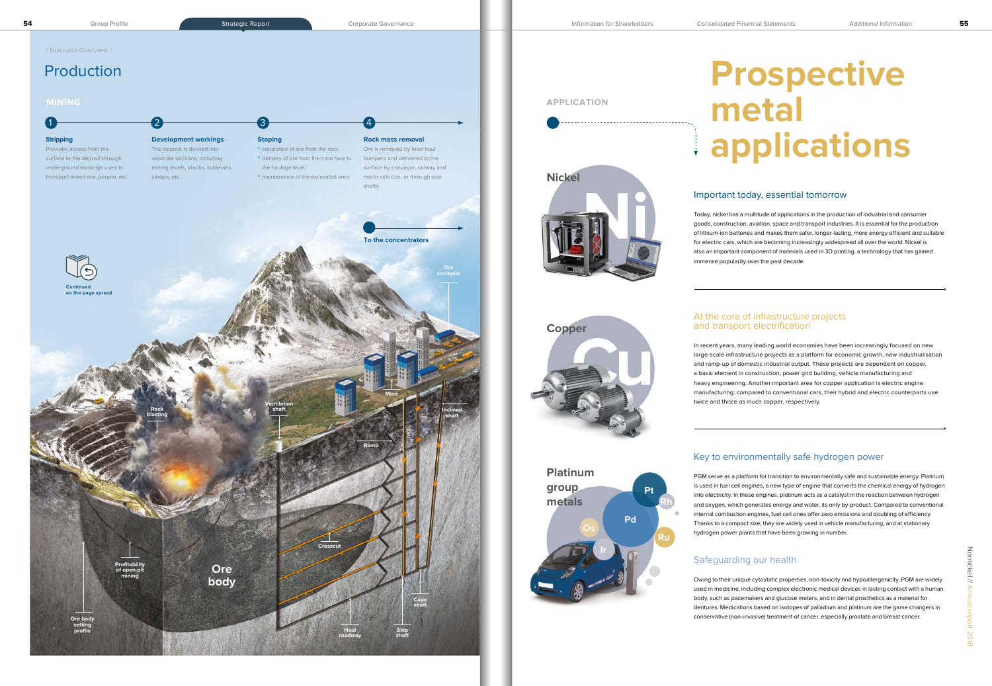

# **Prospective metal applications**

## Important today, essential tomorrow

Today, nickel has a multitude of applications in the production of industrial and consumer goods, construction, aviation, space and transport industries. It is essential for the production of lithium-ion batteries and makes them safer, longer-lasting, more energy efficient and suitable for electric cars, which are becoming increasingly widespread all over the world. Nickel is also an important component of materials used in 3D printing, a technology that has gained immense popularity over the past decade.

## At the core of infrastructure projects and transport electrification



In recent years, many leading world economies have been increasingly focused on new large-scale infrastructure projects as a platform for economic growth, new industrialisation and ramp-up of domestic industrial output. These projects are dependent on copper, a basic element in construction, power grid building, vehicle manufacturing and heavy engineering. Another important area for copper application is electric engine manufacturing: compared to conventional cars, their hybrid and electric counterparts use twice and thrice as much copper, respectively.

# Key to environmentally safe hydrogen power

PGM serve as a platform for transition to environmentally safe and sustainable energy. Platinum is used in fuel cell engines, a new type of engine that converts the chemical energy of hydrogen into electricity. In these engines, platinum acts as a catalyst in the reaction between hydrogen and oxygen, which generates energy and water, its only by-product. Compared to conventional internal combustion engines, fuel cell ones offer zero emissions and doubling of efficiency. Thanks to a compact size, they are widely used in vehicle manufacturing, and at stationary hydrogen power plants that have been growing in number.

# Safeguarding our health

Owing to their unique cytostatic properties, non-toxicity and hypoallergenicity, PGM are widely used in medicine, including complex electronic medical devices in lasting contact with a human body, such as pacemakers and glucose meters, and in dental prosthetics as a material for dentures. Medications based on isotopes of palladium and platinum are the game changers in conservative (non-invasive) treatment of cancer, especially prostate and breast cancer.